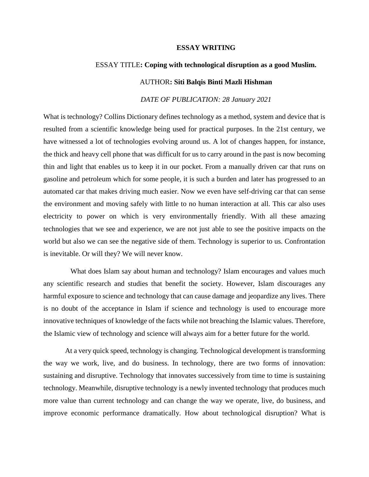## **ESSAY WRITING**

## ESSAY TITLE**: Coping with technological disruption as a good Muslim.**

## AUTHOR**: Siti Balqis Binti Mazli Hishman**

## *DATE OF PUBLICATION: 28 January 2021*

What is technology? Collins Dictionary defines technology as a method, system and device that is resulted from a scientific knowledge being used for practical purposes. In the 21st century, we have witnessed a lot of technologies evolving around us. A lot of changes happen, for instance, the thick and heavy cell phone that was difficult for us to carry around in the past is now becoming thin and light that enables us to keep it in our pocket. From a manually driven car that runs on gasoline and petroleum which for some people, it is such a burden and later has progressed to an automated car that makes driving much easier. Now we even have self-driving car that can sense the environment and moving safely with little to no human interaction at all. This car also uses electricity to power on which is very environmentally friendly. With all these amazing technologies that we see and experience, we are not just able to see the positive impacts on the world but also we can see the negative side of them. Technology is superior to us. Confrontation is inevitable. Or will they? We will never know.

 What does Islam say about human and technology? Islam encourages and values much any scientific research and studies that benefit the society. However, Islam discourages any harmful exposure to science and technology that can cause damage and jeopardize any lives. There is no doubt of the acceptance in Islam if science and technology is used to encourage more innovative techniques of knowledge of the facts while not breaching the Islamic values. Therefore, the Islamic view of technology and science will always aim for a better future for the world.

At a very quick speed, technology is changing. Technological development is transforming the way we work, live, and do business. In technology, there are two forms of innovation: sustaining and disruptive. Technology that innovates successively from time to time is sustaining technology. Meanwhile, disruptive technology is a newly invented technology that produces much more value than current technology and can change the way we operate, live, do business, and improve economic performance dramatically. How about technological disruption? What is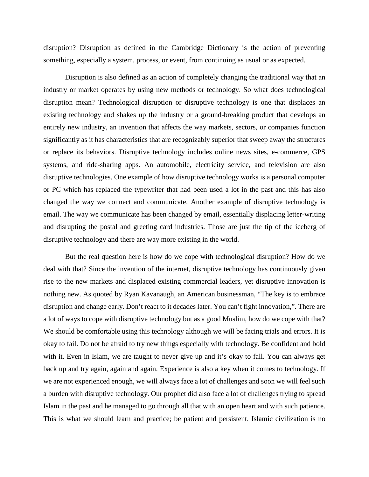disruption? Disruption as defined in the Cambridge Dictionary is the action of preventing something, especially a system, process, or event, from continuing as usual or as expected.

Disruption is also defined as an action of completely changing the traditional way that an industry or market operates by using new methods or technology. So what does technological disruption mean? Technological disruption or disruptive technology is one that displaces an existing technology and shakes up the industry or a ground-breaking product that develops an entirely new industry, an invention that affects the way markets, sectors, or companies function significantly as it has characteristics that are recognizably superior that sweep away the structures or replace its behaviors. Disruptive technology includes online news sites, e-commerce, GPS systems, and ride-sharing apps. An automobile, electricity service, and television are also disruptive technologies. One example of how disruptive technology works is a personal computer or PC which has replaced the typewriter that had been used a lot in the past and this has also changed the way we connect and communicate. Another example of disruptive technology is email. The way we communicate has been changed by email, essentially displacing letter-writing and disrupting the postal and greeting card industries. Those are just the tip of the iceberg of disruptive technology and there are way more existing in the world.

But the real question here is how do we cope with technological disruption? How do we deal with that? Since the invention of the internet, disruptive technology has continuously given rise to the new markets and displaced existing commercial leaders, yet disruptive innovation is nothing new. As quoted by Ryan Kavanaugh, an American businessman, "The key is to embrace disruption and change early. Don't react to it decades later. You can't fight innovation,". There are a lot of ways to cope with disruptive technology but as a good Muslim, how do we cope with that? We should be comfortable using this technology although we will be facing trials and errors. It is okay to fail. Do not be afraid to try new things especially with technology. Be confident and bold with it. Even in Islam, we are taught to never give up and it's okay to fall. You can always get back up and try again, again and again. Experience is also a key when it comes to technology. If we are not experienced enough, we will always face a lot of challenges and soon we will feel such a burden with disruptive technology. Our prophet did also face a lot of challenges trying to spread Islam in the past and he managed to go through all that with an open heart and with such patience. This is what we should learn and practice; be patient and persistent. Islamic civilization is no